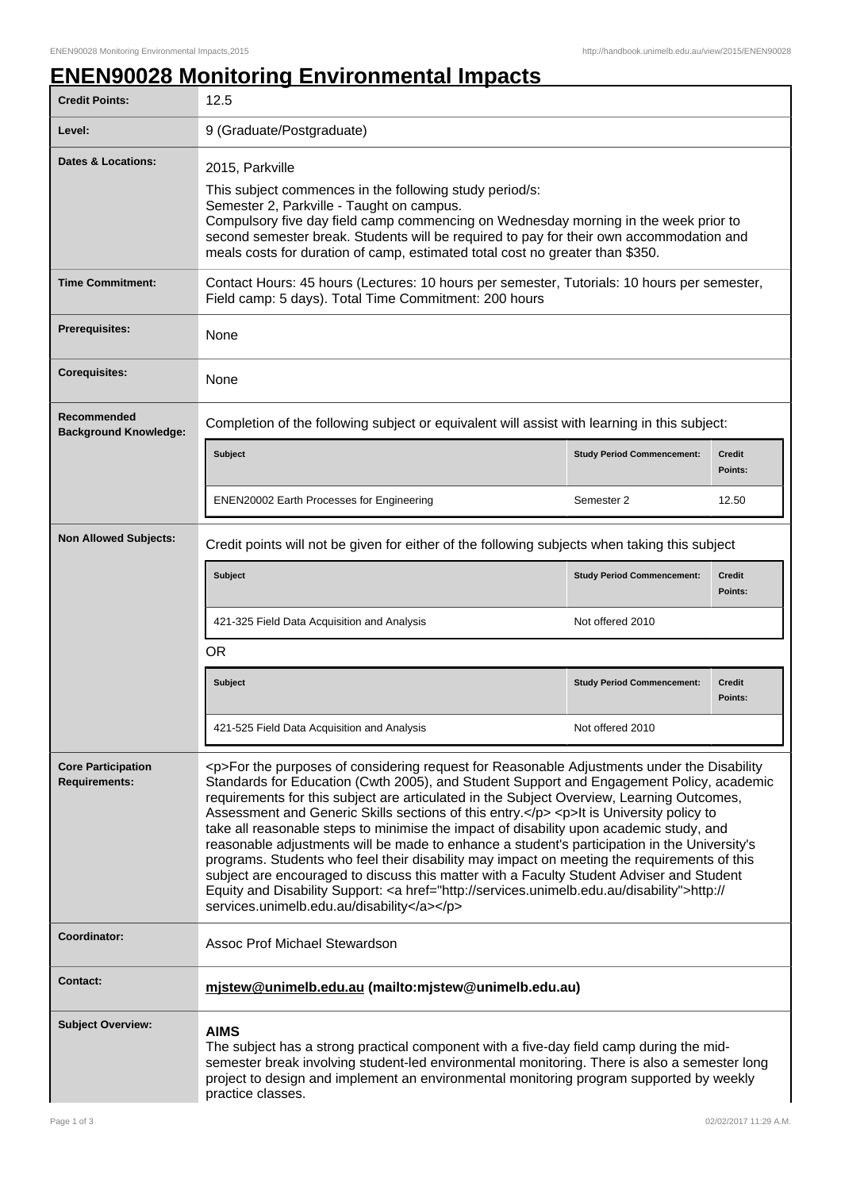## **ENEN90028 Monitoring Environmental Impacts**

| <b>Credit Points:</b>                             | 12.5                                                                                                                                                                                                                                                                                                                                                                                                                                                                                                                                                                                                                                                                                                                                                                                                                                                                                                                      |                                   |                          |  |
|---------------------------------------------------|---------------------------------------------------------------------------------------------------------------------------------------------------------------------------------------------------------------------------------------------------------------------------------------------------------------------------------------------------------------------------------------------------------------------------------------------------------------------------------------------------------------------------------------------------------------------------------------------------------------------------------------------------------------------------------------------------------------------------------------------------------------------------------------------------------------------------------------------------------------------------------------------------------------------------|-----------------------------------|--------------------------|--|
| Level:                                            | 9 (Graduate/Postgraduate)                                                                                                                                                                                                                                                                                                                                                                                                                                                                                                                                                                                                                                                                                                                                                                                                                                                                                                 |                                   |                          |  |
| Dates & Locations:                                | 2015, Parkville<br>This subject commences in the following study period/s:<br>Semester 2, Parkville - Taught on campus.<br>Compulsory five day field camp commencing on Wednesday morning in the week prior to<br>second semester break. Students will be required to pay for their own accommodation and<br>meals costs for duration of camp, estimated total cost no greater than \$350.                                                                                                                                                                                                                                                                                                                                                                                                                                                                                                                                |                                   |                          |  |
| <b>Time Commitment:</b>                           | Contact Hours: 45 hours (Lectures: 10 hours per semester, Tutorials: 10 hours per semester,<br>Field camp: 5 days). Total Time Commitment: 200 hours                                                                                                                                                                                                                                                                                                                                                                                                                                                                                                                                                                                                                                                                                                                                                                      |                                   |                          |  |
| Prerequisites:                                    | None                                                                                                                                                                                                                                                                                                                                                                                                                                                                                                                                                                                                                                                                                                                                                                                                                                                                                                                      |                                   |                          |  |
| <b>Corequisites:</b>                              | None                                                                                                                                                                                                                                                                                                                                                                                                                                                                                                                                                                                                                                                                                                                                                                                                                                                                                                                      |                                   |                          |  |
| Recommended<br><b>Background Knowledge:</b>       | Completion of the following subject or equivalent will assist with learning in this subject:                                                                                                                                                                                                                                                                                                                                                                                                                                                                                                                                                                                                                                                                                                                                                                                                                              |                                   |                          |  |
|                                                   | <b>Subject</b>                                                                                                                                                                                                                                                                                                                                                                                                                                                                                                                                                                                                                                                                                                                                                                                                                                                                                                            | <b>Study Period Commencement:</b> | <b>Credit</b><br>Points: |  |
|                                                   | <b>ENEN20002 Earth Processes for Engineering</b>                                                                                                                                                                                                                                                                                                                                                                                                                                                                                                                                                                                                                                                                                                                                                                                                                                                                          | Semester 2                        | 12.50                    |  |
| <b>Non Allowed Subjects:</b>                      | Credit points will not be given for either of the following subjects when taking this subject                                                                                                                                                                                                                                                                                                                                                                                                                                                                                                                                                                                                                                                                                                                                                                                                                             |                                   |                          |  |
|                                                   | <b>Subject</b>                                                                                                                                                                                                                                                                                                                                                                                                                                                                                                                                                                                                                                                                                                                                                                                                                                                                                                            | <b>Study Period Commencement:</b> | <b>Credit</b><br>Points: |  |
|                                                   | 421-325 Field Data Acquisition and Analysis                                                                                                                                                                                                                                                                                                                                                                                                                                                                                                                                                                                                                                                                                                                                                                                                                                                                               | Not offered 2010                  |                          |  |
|                                                   | <b>OR</b>                                                                                                                                                                                                                                                                                                                                                                                                                                                                                                                                                                                                                                                                                                                                                                                                                                                                                                                 |                                   |                          |  |
|                                                   | Subject                                                                                                                                                                                                                                                                                                                                                                                                                                                                                                                                                                                                                                                                                                                                                                                                                                                                                                                   | <b>Study Period Commencement:</b> | <b>Credit</b><br>Points: |  |
|                                                   | 421-525 Field Data Acquisition and Analysis                                                                                                                                                                                                                                                                                                                                                                                                                                                                                                                                                                                                                                                                                                                                                                                                                                                                               | Not offered 2010                  |                          |  |
| <b>Core Participation</b><br><b>Requirements:</b> | <p>For the purposes of considering request for Reasonable Adjustments under the Disability<br/>Standards for Education (Cwth 2005), and Student Support and Engagement Policy, academic<br/>requirements for this subject are articulated in the Subject Overview, Learning Outcomes,<br/>Assessment and Generic Skills sections of this entry.</p> <p>lt is University policy to<br/>take all reasonable steps to minimise the impact of disability upon academic study, and<br/>reasonable adjustments will be made to enhance a student's participation in the University's<br/>programs. Students who feel their disability may impact on meeting the requirements of this<br/>subject are encouraged to discuss this matter with a Faculty Student Adviser and Student<br/>Equity and Disability Support: <a href="http://services.unimelb.edu.au/disability">http://<br/>services.unimelb.edu.au/disability</a></p> |                                   |                          |  |
| Coordinator:                                      | Assoc Prof Michael Stewardson                                                                                                                                                                                                                                                                                                                                                                                                                                                                                                                                                                                                                                                                                                                                                                                                                                                                                             |                                   |                          |  |
| <b>Contact:</b>                                   | mjstew@unimelb.edu.au (mailto:mjstew@unimelb.edu.au)                                                                                                                                                                                                                                                                                                                                                                                                                                                                                                                                                                                                                                                                                                                                                                                                                                                                      |                                   |                          |  |
| <b>Subject Overview:</b>                          | <b>AIMS</b><br>The subject has a strong practical component with a five-day field camp during the mid-<br>semester break involving student-led environmental monitoring. There is also a semester long<br>project to design and implement an environmental monitoring program supported by weekly<br>practice classes.                                                                                                                                                                                                                                                                                                                                                                                                                                                                                                                                                                                                    |                                   |                          |  |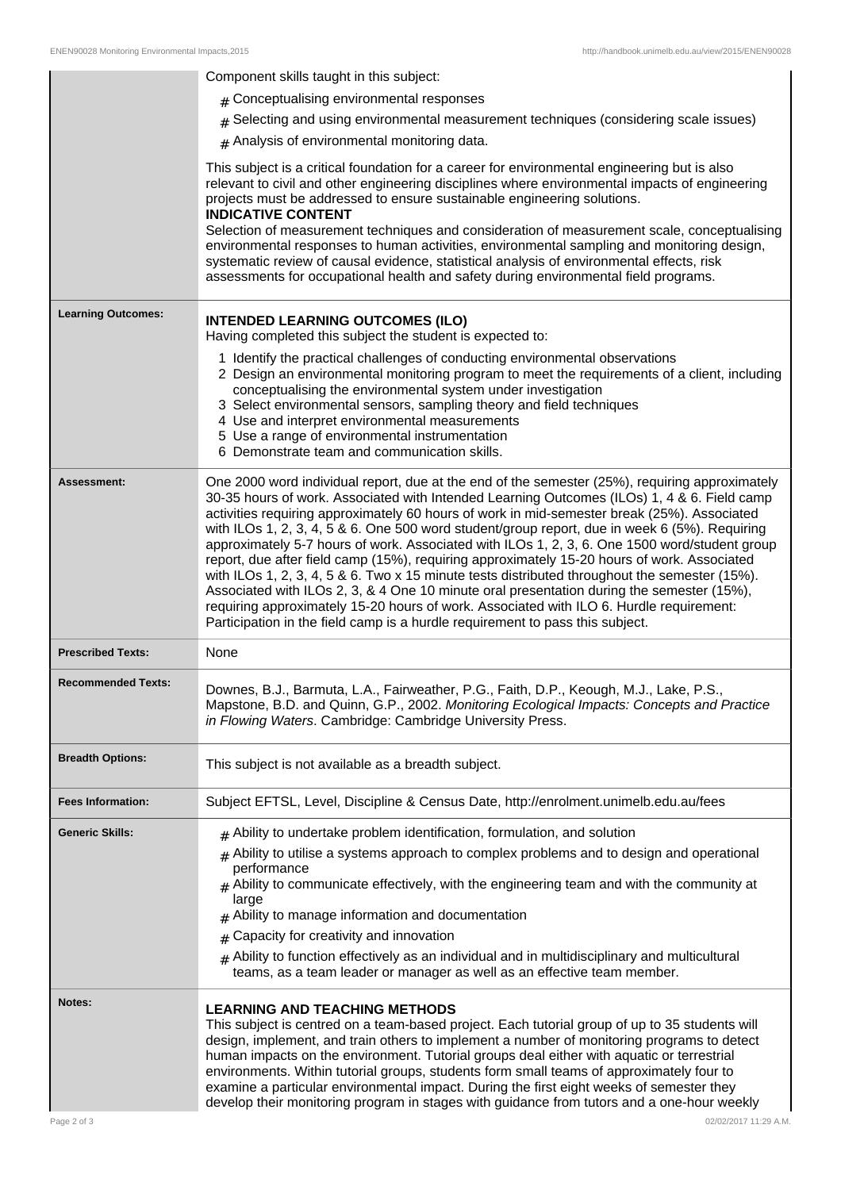|                           | Component skills taught in this subject:                                                                                                                                                                                                                                                                                                                                                                                                                                                                                                                                                                                                                                                                                                                                                                                                                                                                                                                                |  |
|---------------------------|-------------------------------------------------------------------------------------------------------------------------------------------------------------------------------------------------------------------------------------------------------------------------------------------------------------------------------------------------------------------------------------------------------------------------------------------------------------------------------------------------------------------------------------------------------------------------------------------------------------------------------------------------------------------------------------------------------------------------------------------------------------------------------------------------------------------------------------------------------------------------------------------------------------------------------------------------------------------------|--|
|                           | # Conceptualising environmental responses                                                                                                                                                                                                                                                                                                                                                                                                                                                                                                                                                                                                                                                                                                                                                                                                                                                                                                                               |  |
|                           | # Selecting and using environmental measurement techniques (considering scale issues)                                                                                                                                                                                                                                                                                                                                                                                                                                                                                                                                                                                                                                                                                                                                                                                                                                                                                   |  |
|                           | # Analysis of environmental monitoring data.                                                                                                                                                                                                                                                                                                                                                                                                                                                                                                                                                                                                                                                                                                                                                                                                                                                                                                                            |  |
|                           | This subject is a critical foundation for a career for environmental engineering but is also<br>relevant to civil and other engineering disciplines where environmental impacts of engineering<br>projects must be addressed to ensure sustainable engineering solutions.<br><b>INDICATIVE CONTENT</b><br>Selection of measurement techniques and consideration of measurement scale, conceptualising<br>environmental responses to human activities, environmental sampling and monitoring design,<br>systematic review of causal evidence, statistical analysis of environmental effects, risk<br>assessments for occupational health and safety during environmental field programs.                                                                                                                                                                                                                                                                                 |  |
| <b>Learning Outcomes:</b> | <b>INTENDED LEARNING OUTCOMES (ILO)</b><br>Having completed this subject the student is expected to:                                                                                                                                                                                                                                                                                                                                                                                                                                                                                                                                                                                                                                                                                                                                                                                                                                                                    |  |
|                           | 1 Identify the practical challenges of conducting environmental observations<br>2 Design an environmental monitoring program to meet the requirements of a client, including<br>conceptualising the environmental system under investigation<br>3 Select environmental sensors, sampling theory and field techniques<br>4 Use and interpret environmental measurements<br>5 Use a range of environmental instrumentation<br>6 Demonstrate team and communication skills.                                                                                                                                                                                                                                                                                                                                                                                                                                                                                                |  |
| <b>Assessment:</b>        | One 2000 word individual report, due at the end of the semester (25%), requiring approximately<br>30-35 hours of work. Associated with Intended Learning Outcomes (ILOs) 1, 4 & 6. Field camp<br>activities requiring approximately 60 hours of work in mid-semester break (25%). Associated<br>with ILOs 1, 2, 3, 4, 5 & 6. One 500 word student/group report, due in week 6 (5%). Requiring<br>approximately 5-7 hours of work. Associated with ILOs 1, 2, 3, 6. One 1500 word/student group<br>report, due after field camp (15%), requiring approximately 15-20 hours of work. Associated<br>with ILOs 1, 2, 3, 4, 5 & 6. Two x 15 minute tests distributed throughout the semester (15%).<br>Associated with ILOs 2, 3, & 4 One 10 minute oral presentation during the semester (15%),<br>requiring approximately 15-20 hours of work. Associated with ILO 6. Hurdle requirement:<br>Participation in the field camp is a hurdle requirement to pass this subject. |  |
| <b>Prescribed Texts:</b>  | None                                                                                                                                                                                                                                                                                                                                                                                                                                                                                                                                                                                                                                                                                                                                                                                                                                                                                                                                                                    |  |
| <b>Recommended Texts:</b> | Downes, B.J., Barmuta, L.A., Fairweather, P.G., Faith, D.P., Keough, M.J., Lake, P.S.,<br>Mapstone, B.D. and Quinn, G.P., 2002. Monitoring Ecological Impacts: Concepts and Practice<br>in Flowing Waters. Cambridge: Cambridge University Press.                                                                                                                                                                                                                                                                                                                                                                                                                                                                                                                                                                                                                                                                                                                       |  |
| <b>Breadth Options:</b>   | This subject is not available as a breadth subject.                                                                                                                                                                                                                                                                                                                                                                                                                                                                                                                                                                                                                                                                                                                                                                                                                                                                                                                     |  |
| <b>Fees Information:</b>  | Subject EFTSL, Level, Discipline & Census Date, http://enrolment.unimelb.edu.au/fees                                                                                                                                                                                                                                                                                                                                                                                                                                                                                                                                                                                                                                                                                                                                                                                                                                                                                    |  |
| <b>Generic Skills:</b>    | $#$ Ability to undertake problem identification, formulation, and solution                                                                                                                                                                                                                                                                                                                                                                                                                                                                                                                                                                                                                                                                                                                                                                                                                                                                                              |  |
|                           | Ability to utilise a systems approach to complex problems and to design and operational<br>#<br>performance<br>$#$ Ability to communicate effectively, with the engineering team and with the community at<br>large<br>Ability to manage information and documentation<br>#                                                                                                                                                                                                                                                                                                                                                                                                                                                                                                                                                                                                                                                                                             |  |
|                           | Capacity for creativity and innovation<br>#                                                                                                                                                                                                                                                                                                                                                                                                                                                                                                                                                                                                                                                                                                                                                                                                                                                                                                                             |  |
|                           | Ability to function effectively as an individual and in multidisciplinary and multicultural<br>#<br>teams, as a team leader or manager as well as an effective team member.                                                                                                                                                                                                                                                                                                                                                                                                                                                                                                                                                                                                                                                                                                                                                                                             |  |
| Notes:                    | <b>LEARNING AND TEACHING METHODS</b><br>This subject is centred on a team-based project. Each tutorial group of up to 35 students will<br>design, implement, and train others to implement a number of monitoring programs to detect<br>human impacts on the environment. Tutorial groups deal either with aquatic or terrestrial<br>environments. Within tutorial groups, students form small teams of approximately four to<br>examine a particular environmental impact. During the first eight weeks of semester they<br>develop their monitoring program in stages with guidance from tutors and a one-hour weekly                                                                                                                                                                                                                                                                                                                                                 |  |